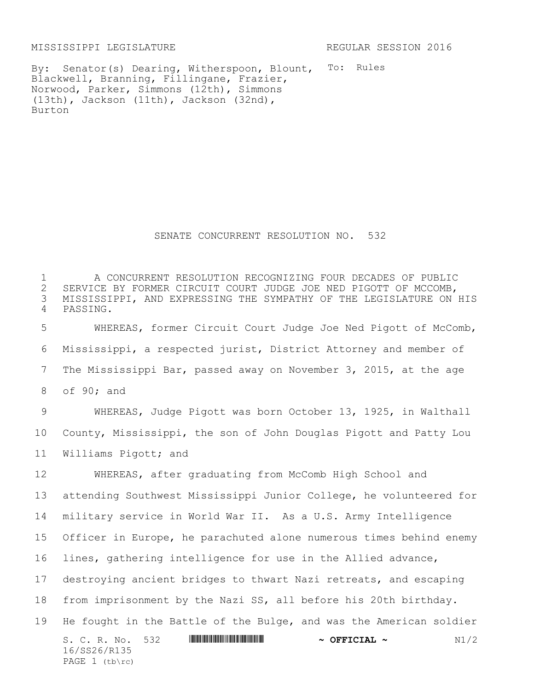MISSISSIPPI LEGISLATURE REGULAR SESSION 2016

By: Senator(s) Dearing, Witherspoon, Blount, To: Rules Blackwell, Branning, Fillingane, Frazier, Norwood, Parker, Simmons (12th), Simmons (13th), Jackson (11th), Jackson (32nd), Burton

SENATE CONCURRENT RESOLUTION NO. 532

1 A CONCURRENT RESOLUTION RECOGNIZING FOUR DECADES OF PUBLIC<br>2 SERVICE BY FORMER CIRCUIT COURT JUDGE JOE NED PIGOTT OF MCCOMB, 2 SERVICE BY FORMER CIRCUIT COURT JUDGE JOE NED PIGOTT OF MCCOMB,<br>3 MISSISSIPPI, AND EXPRESSING THE SYMPATHY OF THE LEGISLATURE ON 3 MISSISSIPPI, AND EXPRESSING THE SYMPATHY OF THE LEGISLATURE ON HIS 4 PASSING.

 WHEREAS, former Circuit Court Judge Joe Ned Pigott of McComb, Mississippi, a respected jurist, District Attorney and member of The Mississippi Bar, passed away on November 3, 2015, at the age of 90; and

9 WHEREAS, Judge Pigott was born October 13, 1925, in Walthall 10 County, Mississippi, the son of John Douglas Pigott and Patty Lou 11 Williams Pigott; and

S. C. R. No. 532 \*SS26/R135\* **~ OFFICIAL ~** N1/2 16/SS26/R135 PAGE 1 (tb\rc) WHEREAS, after graduating from McComb High School and attending Southwest Mississippi Junior College, he volunteered for military service in World War II. As a U.S. Army Intelligence Officer in Europe, he parachuted alone numerous times behind enemy lines, gathering intelligence for use in the Allied advance, destroying ancient bridges to thwart Nazi retreats, and escaping from imprisonment by the Nazi SS, all before his 20th birthday. He fought in the Battle of the Bulge, and was the American soldier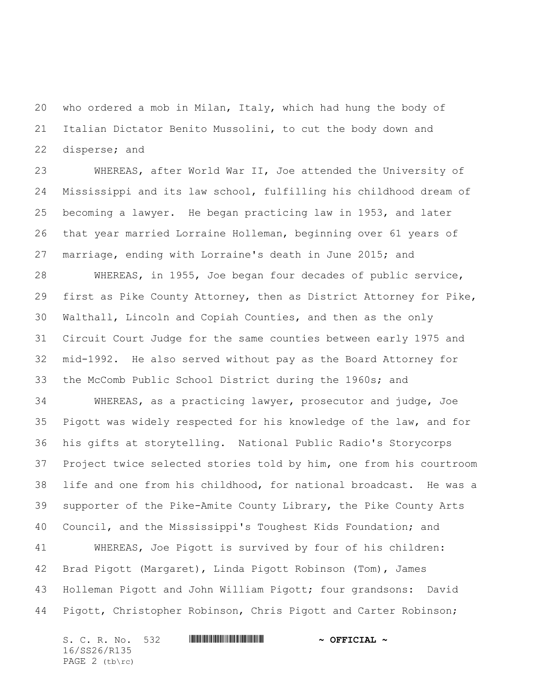who ordered a mob in Milan, Italy, which had hung the body of Italian Dictator Benito Mussolini, to cut the body down and disperse; and

 WHEREAS, after World War II, Joe attended the University of Mississippi and its law school, fulfilling his childhood dream of becoming a lawyer. He began practicing law in 1953, and later that year married Lorraine Holleman, beginning over 61 years of marriage, ending with Lorraine's death in June 2015; and

 WHEREAS, in 1955, Joe began four decades of public service, first as Pike County Attorney, then as District Attorney for Pike, Walthall, Lincoln and Copiah Counties, and then as the only Circuit Court Judge for the same counties between early 1975 and mid-1992. He also served without pay as the Board Attorney for the McComb Public School District during the 1960s; and

 WHEREAS, as a practicing lawyer, prosecutor and judge, Joe Pigott was widely respected for his knowledge of the law, and for his gifts at storytelling. National Public Radio's Storycorps Project twice selected stories told by him, one from his courtroom life and one from his childhood, for national broadcast. He was a supporter of the Pike-Amite County Library, the Pike County Arts Council, and the Mississippi's Toughest Kids Foundation; and WHEREAS, Joe Pigott is survived by four of his children: Brad Pigott (Margaret), Linda Pigott Robinson (Tom), James Holleman Pigott and John William Pigott; four grandsons: David Pigott, Christopher Robinson, Chris Pigott and Carter Robinson;

S. C. R. No. 532 **\*\*\* AND \*\*\* AND \*\*\* AND \*\*\* OFFICIAL ~\*** 16/SS26/R135 PAGE 2 (tb\rc)